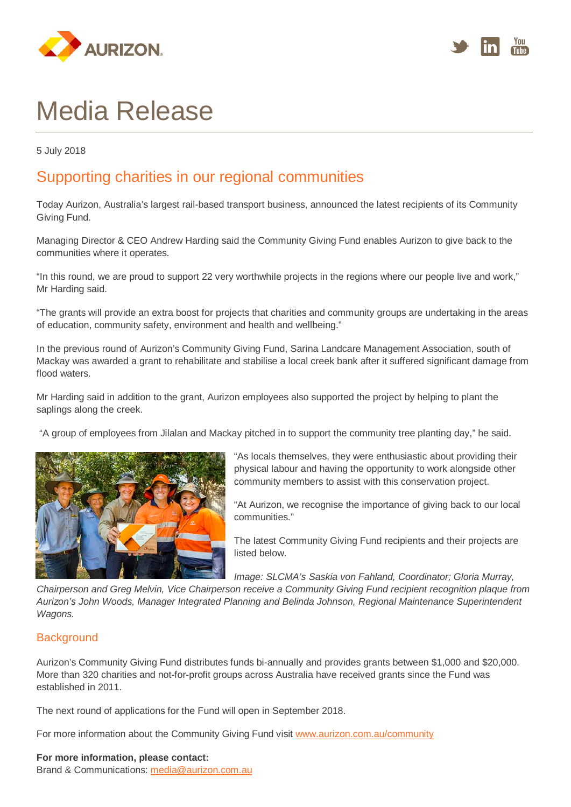



# Media Release

5 July 2018

## Supporting charities in our regional communities

Today Aurizon, Australia's largest rail-based transport business, announced the latest recipients of its Community Giving Fund.

Managing Director & CEO Andrew Harding said the Community Giving Fund enables Aurizon to give back to the communities where it operates.

"In this round, we are proud to support 22 very worthwhile projects in the regions where our people live and work," Mr Harding said.

"The grants will provide an extra boost for projects that charities and community groups are undertaking in the areas of education, community safety, environment and health and wellbeing."

In the previous round of Aurizon's Community Giving Fund, Sarina Landcare Management Association, south of Mackay was awarded a grant to rehabilitate and stabilise a local creek bank after it suffered significant damage from flood waters.

Mr Harding said in addition to the grant, Aurizon employees also supported the project by helping to plant the saplings along the creek.

"A group of employees from Jilalan and Mackay pitched in to support the community tree planting day," he said.



"As locals themselves, they were enthusiastic about providing their physical labour and having the opportunity to work alongside other community members to assist with this conservation project.

"At Aurizon, we recognise the importance of giving back to our local communities."

The latest Community Giving Fund recipients and their projects are listed below.

*Image: SLCMA's Saskia von Fahland, Coordinator; Gloria Murray,* 

*Chairperson and Greg Melvin, Vice Chairperson receive a Community Giving Fund recipient recognition plaque from Aurizon's John Woods, Manager Integrated Planning and Belinda Johnson, Regional Maintenance Superintendent Wagons.*

#### **Background**

Aurizon's Community Giving Fund distributes funds bi-annually and provides grants between \$1,000 and \$20,000. More than 320 charities and not-for-profit groups across Australia have received grants since the Fund was established in 2011.

The next round of applications for the Fund will open in September 2018.

For more information about the Community Giving Fund visit [www.aurizon.com.au/community](http://www.aurizon.com.au/community)

#### **For more information, please contact:**

Brand & Communications: [media@aurizon.com.au](mailto:media@aurizon.com.au)